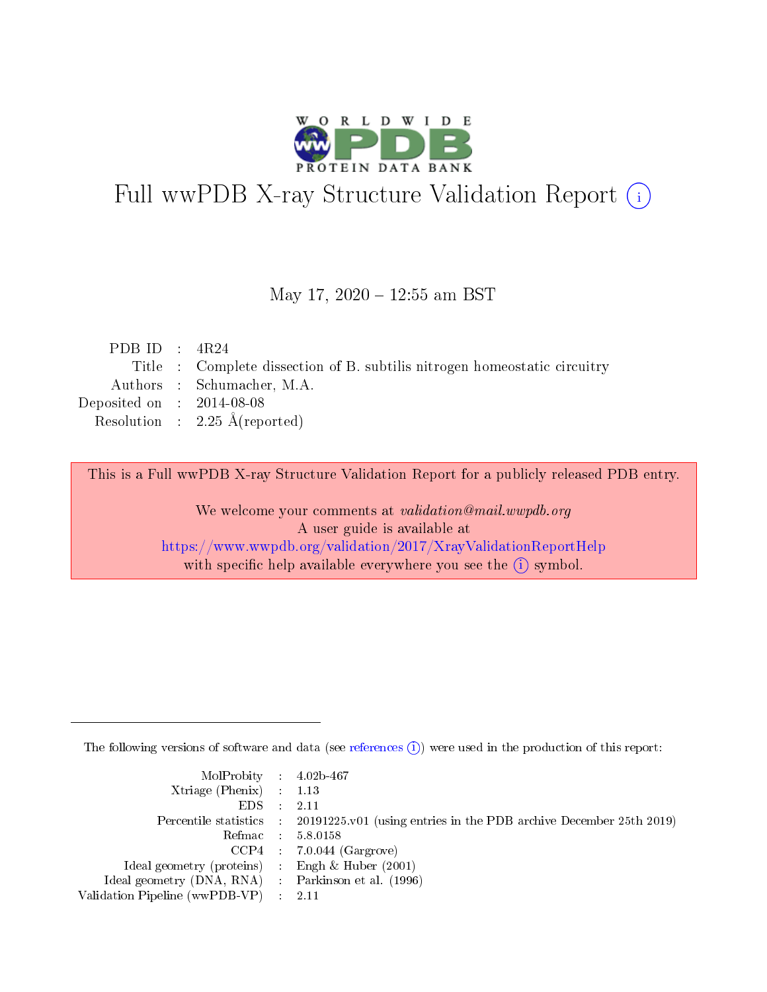

# Full wwPDB X-ray Structure Validation Report (i)

#### May 17, 2020 - 12:55 am BST

| PDB ID : $4R24$             |                                                                           |
|-----------------------------|---------------------------------------------------------------------------|
|                             | Title : Complete dissection of B. subtilis nitrogen homeostatic circuitry |
|                             | Authors : Schumacher, M.A.                                                |
| Deposited on : $2014-08-08$ |                                                                           |
|                             | Resolution : $2.25 \text{ Å}$ (reported)                                  |
|                             |                                                                           |

This is a Full wwPDB X-ray Structure Validation Report for a publicly released PDB entry.

We welcome your comments at validation@mail.wwpdb.org A user guide is available at <https://www.wwpdb.org/validation/2017/XrayValidationReportHelp> with specific help available everywhere you see the  $(i)$  symbol.

The following versions of software and data (see [references](https://www.wwpdb.org/validation/2017/XrayValidationReportHelp#references)  $(i)$ ) were used in the production of this report:

| MolProbity : $4.02b-467$                            |                                                                                            |
|-----------------------------------------------------|--------------------------------------------------------------------------------------------|
| Xtriage (Phenix) $: 1.13$                           |                                                                                            |
| EDS -                                               | 2.11                                                                                       |
|                                                     | Percentile statistics : 20191225.v01 (using entries in the PDB archive December 25th 2019) |
|                                                     | Refmac 58.0158                                                                             |
|                                                     | $CCP4$ 7.0.044 (Gargrove)                                                                  |
| Ideal geometry (proteins) : Engh $\&$ Huber (2001)  |                                                                                            |
| Ideal geometry (DNA, RNA) : Parkinson et al. (1996) |                                                                                            |
| Validation Pipeline (wwPDB-VP)                      | -2.11                                                                                      |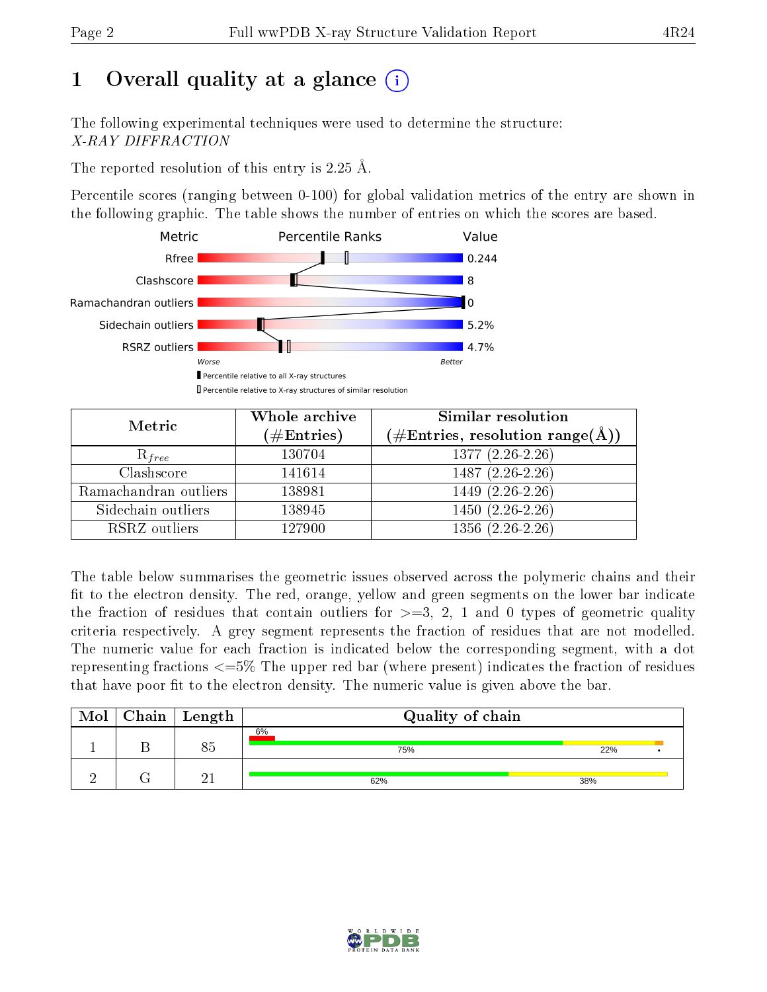# 1 [O](https://www.wwpdb.org/validation/2017/XrayValidationReportHelp#overall_quality)verall quality at a glance  $(i)$

The following experimental techniques were used to determine the structure: X-RAY DIFFRACTION

The reported resolution of this entry is 2.25 Å.

Percentile scores (ranging between 0-100) for global validation metrics of the entry are shown in the following graphic. The table shows the number of entries on which the scores are based.



| Metric                | Whole archive<br>$(\#\text{Entries})$ | Similar resolution<br>$(\#\text{Entries},\,\text{resolution}\,\,\text{range}(\textup{\AA}))$ |
|-----------------------|---------------------------------------|----------------------------------------------------------------------------------------------|
| $R_{free}$            | 130704                                | $1377(2.26-2.26)$                                                                            |
| Clashscore            | 141614                                | $1487(2.26-2.26)$                                                                            |
| Ramachandran outliers | 138981                                | $1449(2.26-2.26)$                                                                            |
| Sidechain outliers    | 138945                                | $1450(2.26-2.26)$                                                                            |
| RSRZ outliers         | 127900                                | $1356(2.26-2.26)$                                                                            |

The table below summarises the geometric issues observed across the polymeric chains and their fit to the electron density. The red, orange, yellow and green segments on the lower bar indicate the fraction of residues that contain outliers for  $>=3, 2, 1$  and 0 types of geometric quality criteria respectively. A grey segment represents the fraction of residues that are not modelled. The numeric value for each fraction is indicated below the corresponding segment, with a dot representing fractions  $\epsilon=5\%$  The upper red bar (where present) indicates the fraction of residues that have poor fit to the electron density. The numeric value is given above the bar.

| Mol | $C$ hain $\vert$ Length | Quality of chain |     |  |  |  |  |
|-----|-------------------------|------------------|-----|--|--|--|--|
|     |                         | 6%<br>75%        | 22% |  |  |  |  |
|     | $\Omega$ 1              | 62%              | 38% |  |  |  |  |

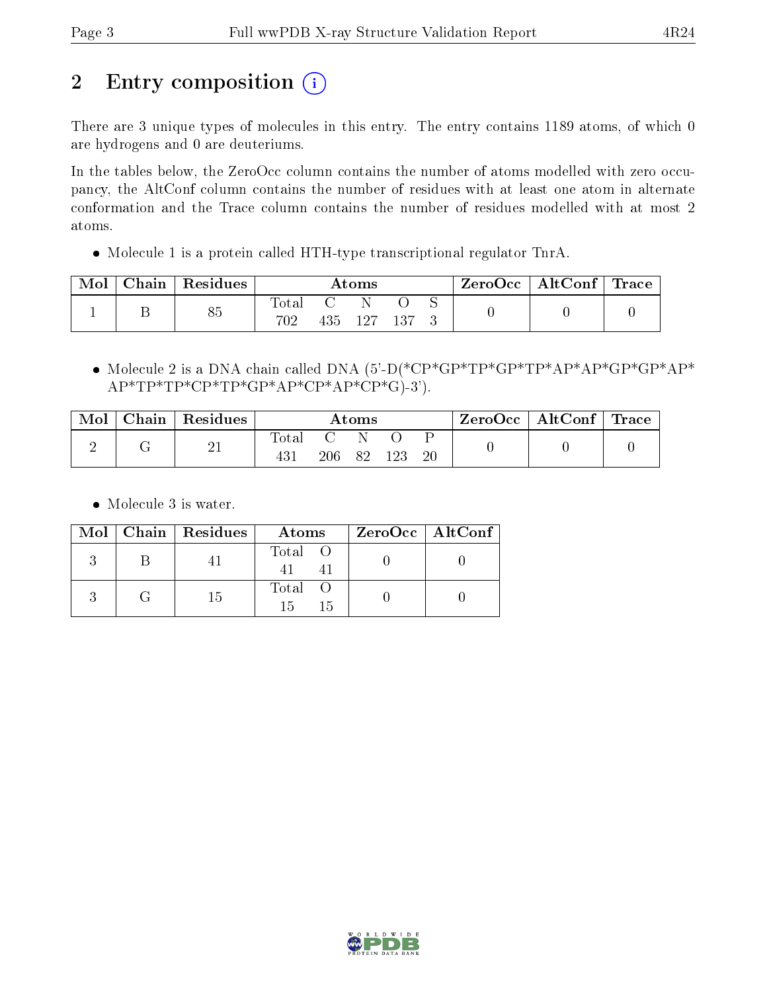# 2 Entry composition (i)

There are 3 unique types of molecules in this entry. The entry contains 1189 atoms, of which 0 are hydrogens and 0 are deuteriums.

In the tables below, the ZeroOcc column contains the number of atoms modelled with zero occupancy, the AltConf column contains the number of residues with at least one atom in alternate conformation and the Trace column contains the number of residues modelled with at most 2 atoms.

Molecule 1 is a protein called HTH-type transcriptional regulator TnrA.

| Mol | Chain   Residues | Atoms        |  |         | $\text{ZeroOcc} \mid \text{AltConf} \mid \text{Trace}$ |  |  |  |
|-----|------------------|--------------|--|---------|--------------------------------------------------------|--|--|--|
|     | 85               | Total<br>702 |  | 435 127 |                                                        |  |  |  |

• Molecule 2 is a DNA chain called DNA (5'-D(\*CP\*GP\*TP\*GP\*TP\*AP\*AP\*GP\*GP\*AP\*  $AP*TP*TP*CP*TP*GP*AP*CP*AP*CP*GP*G$ )-3').

| Mol | Chain   Residues | $\rm{Atoms}$ |     |  | ZeroOcc   AltConf   Trace |        |  |  |
|-----|------------------|--------------|-----|--|---------------------------|--------|--|--|
|     | $\overline{L}$   | otal         | 206 |  |                           | $20\,$ |  |  |

• Molecule 3 is water.

|  | Mol   Chain   Residues | Atoms                | ZeroOcc   AltConf |  |
|--|------------------------|----------------------|-------------------|--|
|  |                        | Total O              |                   |  |
|  | 15                     | Total O<br>15<br>-15 |                   |  |

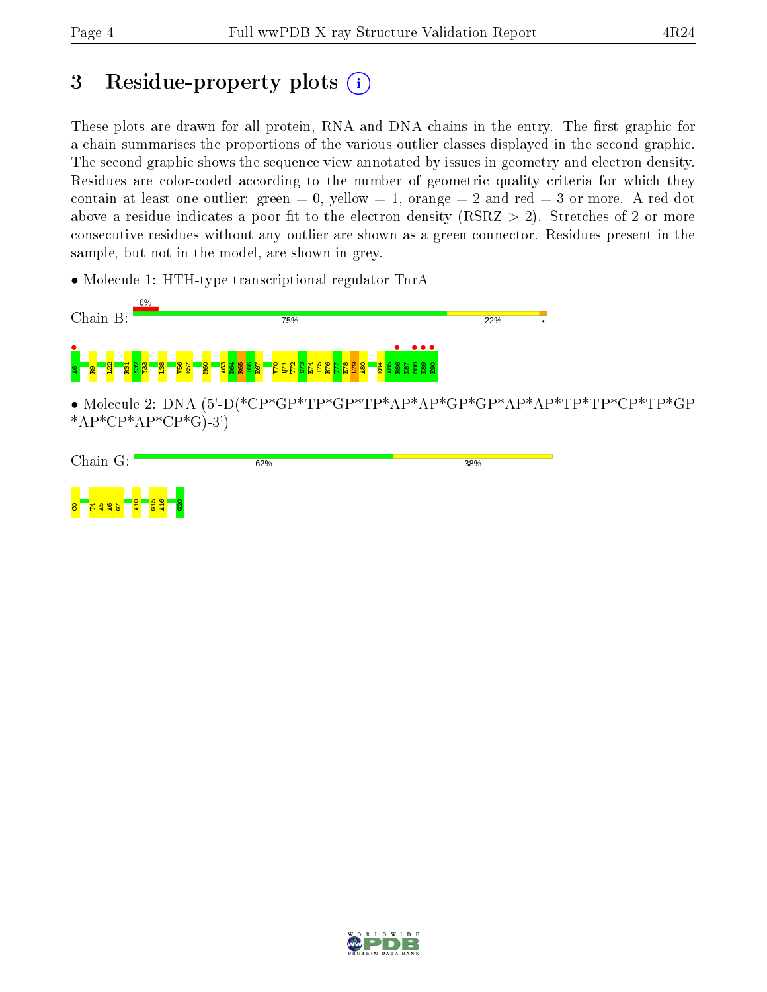# 3 Residue-property plots  $(i)$

These plots are drawn for all protein, RNA and DNA chains in the entry. The first graphic for a chain summarises the proportions of the various outlier classes displayed in the second graphic. The second graphic shows the sequence view annotated by issues in geometry and electron density. Residues are color-coded according to the number of geometric quality criteria for which they contain at least one outlier: green  $= 0$ , yellow  $= 1$ , orange  $= 2$  and red  $= 3$  or more. A red dot above a residue indicates a poor fit to the electron density (RSRZ  $> 2$ ). Stretches of 2 or more consecutive residues without any outlier are shown as a green connector. Residues present in the sample, but not in the model, are shown in grey.

• Molecule 1: HTH-type transcriptional regulator TnrA



• Molecule 2: DNA (5'-D(\*CP\*GP\*TP\*GP\*TP\*AP\*AP\*GP\*GP\*AP\*AP\*TP\*TP\*CP\*TP\*GP  $*AP*CP*AP*CP*G$ -3')

|                 | Chain G:                                      |         |                                               | 62% | 38% |
|-----------------|-----------------------------------------------|---------|-----------------------------------------------|-----|-----|
|                 |                                               |         |                                               |     |     |
| $8\overline{ }$ | <b>C5</b><br>▭<br><b>1999</b><br><b>PARTS</b> | Q.<br>a | <b>IQ</b><br>9<br>$\blacksquare$<br><b>PM</b> |     |     |

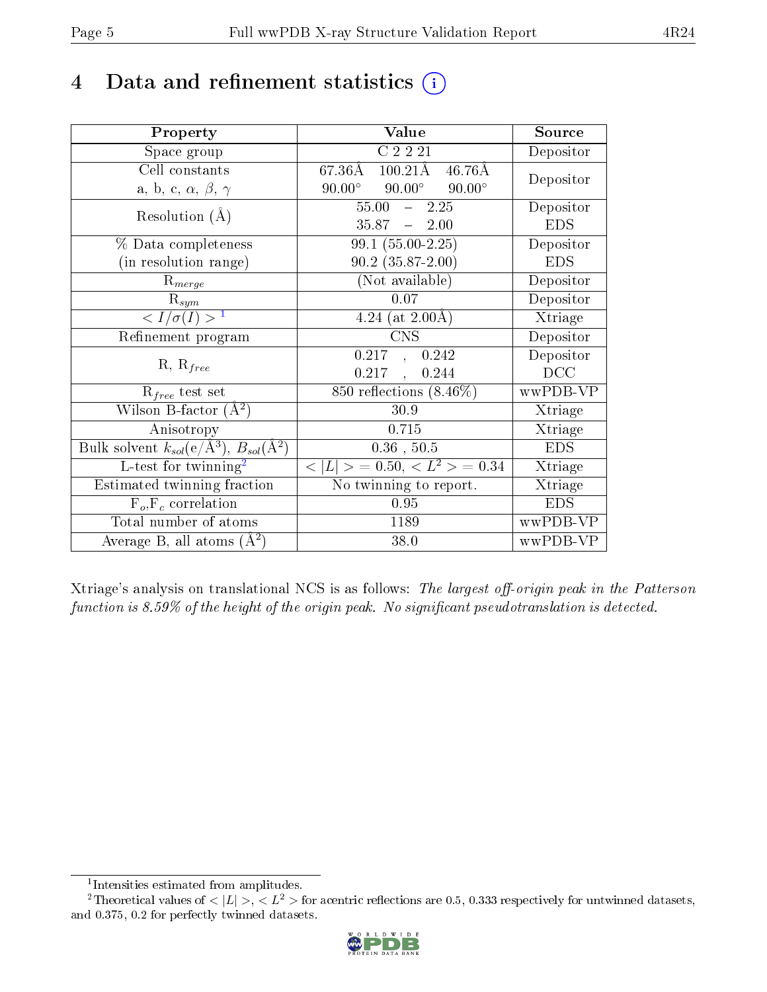# 4 Data and refinement statistics  $(i)$

| Property                                                         | Value                                               | Source     |
|------------------------------------------------------------------|-----------------------------------------------------|------------|
| Space group                                                      | C2221                                               | Depositor  |
| Cell constants                                                   | 67.36Å<br>$100.21\text{\AA}$ 46.76Å                 |            |
| a, b, c, $\alpha$ , $\beta$ , $\gamma$                           | $90.00^\circ$<br>$90.00^{\circ}$<br>$90.00^{\circ}$ | Depositor  |
| Resolution $(A)$                                                 | $55.00 -$<br>2.25                                   | Depositor  |
|                                                                  | $35.87 - 2.00$                                      | <b>EDS</b> |
| % Data completeness                                              | $99.1 (55.00 - 2.25)$                               | Depositor  |
| (in resolution range)                                            | $90.2$ $(35.87 - 2.00)$                             | <b>EDS</b> |
| $R_{merge}$                                                      | (Not available)                                     | Depositor  |
| $\mathrm{R}_{sym}$                                               | 0.07                                                | Depositor  |
| $\langle I/\sigma(I) \rangle^{-1}$                               | 4.24 (at $2.00\text{\AA}$ )                         | Xtriage    |
| Refinement program                                               | <b>CNS</b>                                          | Depositor  |
|                                                                  | 0.217, 0.242                                        | Depositor  |
| $R, R_{free}$                                                    | 0.217<br>0.244<br>$\mathbf{r}$                      | DCC        |
| $R_{free}$ test set                                              | $850$ reflections $(8.46\%)$                        | wwPDB-VP   |
| Wilson B-factor $(A^2)$                                          | 30.9                                                | Xtriage    |
| Anisotropy                                                       | 0.715                                               | Xtriage    |
| Bulk solvent $k_{sol}(\text{e}/\text{A}^3), B_{sol}(\text{A}^2)$ | $0.36$ , $50.5$                                     | <b>EDS</b> |
| $L$ -test for twinning <sup>2</sup>                              | $< L >$ = 0.50, $< L^2 >$ = 0.34                    | Xtriage    |
| Estimated twinning fraction                                      | $\overline{\text{No}}$ twinning to report.          | Xtriage    |
| $F_o, F_c$ correlation                                           | 0.95                                                | <b>EDS</b> |
| Total number of atoms                                            | 1189                                                | wwPDB-VP   |
| Average B, all atoms $(A^2)$                                     | 38.0                                                | wwPDB-VP   |

Xtriage's analysis on translational NCS is as follows: The largest off-origin peak in the Patterson function is  $8.59\%$  of the height of the origin peak. No significant pseudotranslation is detected.

<sup>&</sup>lt;sup>2</sup>Theoretical values of  $\langle |L| \rangle$ ,  $\langle L^2 \rangle$  for acentric reflections are 0.5, 0.333 respectively for untwinned datasets, and 0.375, 0.2 for perfectly twinned datasets.



<span id="page-4-1"></span><span id="page-4-0"></span><sup>1</sup> Intensities estimated from amplitudes.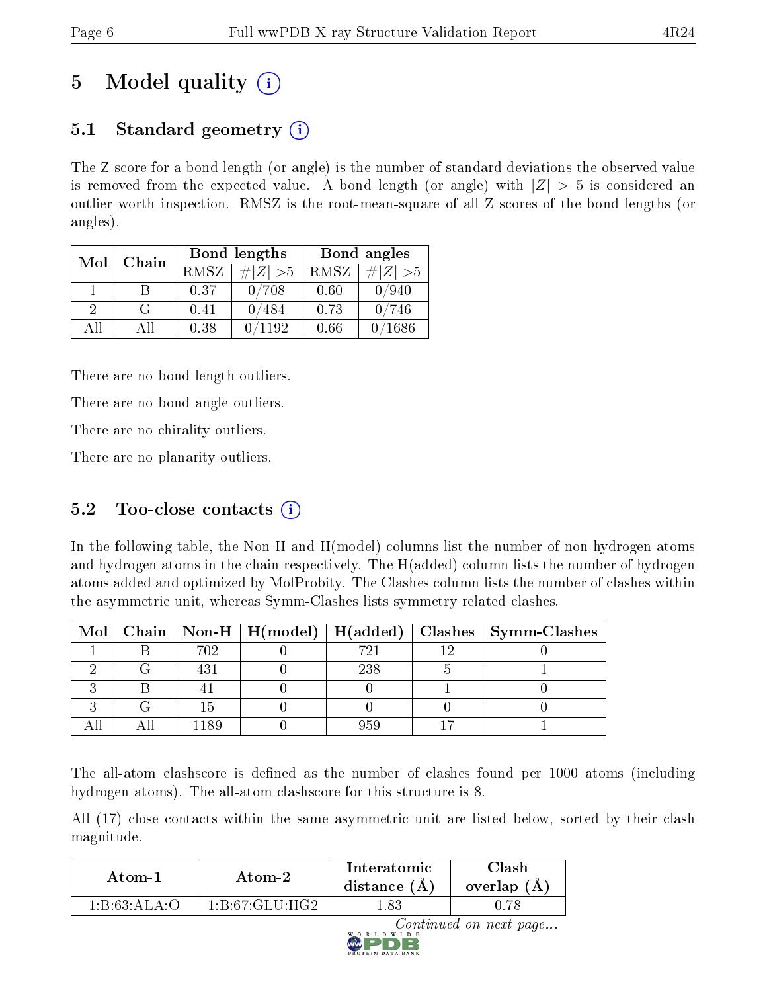# 5 Model quality  $(i)$

## 5.1 Standard geometry  $(i)$

The Z score for a bond length (or angle) is the number of standard deviations the observed value is removed from the expected value. A bond length (or angle) with  $|Z| > 5$  is considered an outlier worth inspection. RMSZ is the root-mean-square of all Z scores of the bond lengths (or angles).

| Mol           | Chain |      | Bond lengths    |      | Bond angles |
|---------------|-------|------|-----------------|------|-------------|
|               |       | RMSZ | # $ Z  > 5$     | RMSZ | # $ Z  > 5$ |
|               | B     | 0.37 | 0/708           | 0.60 | 0/940       |
| $\mathcal{D}$ | G     | 0.41 | 0/484           | 0.73 | 0/746       |
| AH            | All   | 0.38 | $^{\prime}1192$ | 0.66 | 1686        |

There are no bond length outliers.

There are no bond angle outliers.

There are no chirality outliers.

There are no planarity outliers.

## $5.2$  Too-close contacts  $(i)$

In the following table, the Non-H and H(model) columns list the number of non-hydrogen atoms and hydrogen atoms in the chain respectively. The H(added) column lists the number of hydrogen atoms added and optimized by MolProbity. The Clashes column lists the number of clashes within the asymmetric unit, whereas Symm-Clashes lists symmetry related clashes.

| Mol |      | $\mid$ Chain $\mid$ Non-H $\mid$ H(model) $\mid$ H(added) |     | Clashes   Symm-Clashes |
|-----|------|-----------------------------------------------------------|-----|------------------------|
|     | 702  |                                                           | 721 |                        |
|     |      |                                                           | 238 |                        |
|     |      |                                                           |     |                        |
|     |      |                                                           |     |                        |
|     | 1189 |                                                           |     |                        |

The all-atom clashscore is defined as the number of clashes found per 1000 atoms (including hydrogen atoms). The all-atom clashscore for this structure is 8.

All (17) close contacts within the same asymmetric unit are listed below, sorted by their clash magnitude.

| Atom-2                                   |                                          | Interatomic  | Clash         |
|------------------------------------------|------------------------------------------|--------------|---------------|
| Atom-1                                   |                                          | distance (A) | overlap $(A)$ |
| $1 \cdot R \cdot 63 \cdot A L A \cdot C$ | $1 \cdot R \cdot 67 \cdot C1 \cdot H C2$ | 1.83         |               |

Continued on next page...

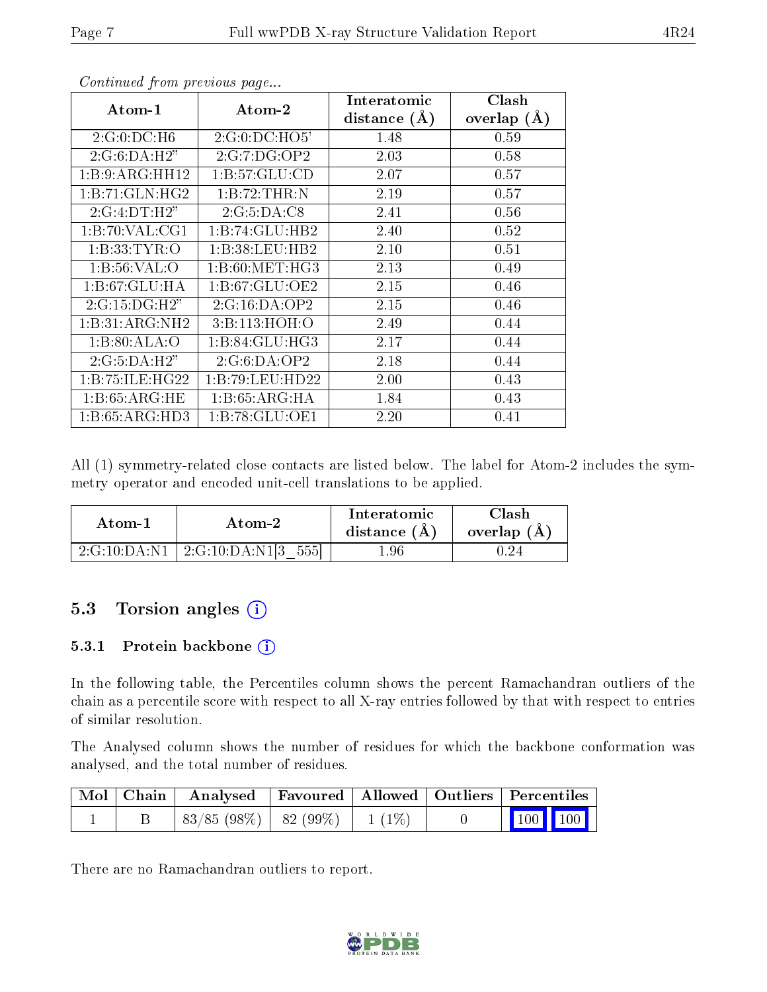| $\boldsymbol{\mathrm{Atom}\text{-}1}$ | Atom-2           | Interatomic    | Clash         |
|---------------------------------------|------------------|----------------|---------------|
|                                       |                  | distance $(A)$ | overlap $(A)$ |
| 2:G:0:DC:H6                           | 2:G:0:DC:HO5'    | 1.48           | 0.59          |
| 2:G:6:DA:H2"                          | 2:G:7:DG:OP2     | 2.03           | 0.58          |
| 1:B:9:ARG:HH12                        | 1:B:57:GLU:CD    | 2.07           | 0.57          |
| 1:B:71:GLN:HG2                        | 1:B:72:THR:N     | 2.19           | 0.57          |
| 2:G:4:DT:H2"                          | 2:G:5:DA:CS      | 2.41           | 0.56          |
| 1: B:70: VAL:CG1                      | 1:B:74:GLU:HB2   | 2.40           | 0.52          |
| 1: B: 33: TYR: O                      | 1:B:38:LEU:HB2   | 2.10           | 0.51          |
| 1: B:56: VAL:O                        | 1: B:60: MET:HG3 | 2.13           | 0.49          |
| 1: B:67: GLU: HA                      | 1: B:67: GLU:OE2 | 2.15           | 0.46          |
| 2:G:15:DG:H2"                         | 2:G:16:DA:OP2    | 2.15           | 0.46          |
| 1:B:31:ARG:NH2                        | 3:Bi:113:HOH:O   | 2.49           | 0.44          |
| 1:B:80:ALA:O                          | 1: B:84: GLU:HG3 | 2.17           | 0.44          |
| 2:G:5:DA:H2"                          | 2:G:6:DA:OP2     | 2.18           | 0.44          |
| 1:B:75:ILE:HG22                       | 1:B:79:LEU:HD22  | 2.00           | 0.43          |
| 1:B:65:ARG:HE                         | 1:B:65:ARG:HA    | 1.84           | 0.43          |
| 1:B:65:ARG:HD3                        | 1:B:78:GLU:OE1   | 2.20           | 0.41          |

Continued from previous page...

All (1) symmetry-related close contacts are listed below. The label for Atom-2 includes the symmetry operator and encoded unit-cell translations to be applied.

| Atom-1       | Atom-2              | Interatomic<br>distance $(A)$ | Clash<br>overlap (A |
|--------------|---------------------|-------------------------------|---------------------|
| 2:G:10:DA:N1 | 2:G:10:DA:N1[3 555] | .96                           |                     |

### 5.3 Torsion angles (i)

#### 5.3.1 Protein backbone (i)

In the following table, the Percentiles column shows the percent Ramachandran outliers of the chain as a percentile score with respect to all X-ray entries followed by that with respect to entries of similar resolution.

The Analysed column shows the number of residues for which the backbone conformation was analysed, and the total number of residues.

|  | Mol   Chain   Analysed   Favoured   Allowed   Outliers   Percentiles |  |                         |  |
|--|----------------------------------------------------------------------|--|-------------------------|--|
|  | $ 83/85 (98\%) 82 (99\%) 1 (1\%)$                                    |  | $\vert$ 100 100 $\vert$ |  |

There are no Ramachandran outliers to report.

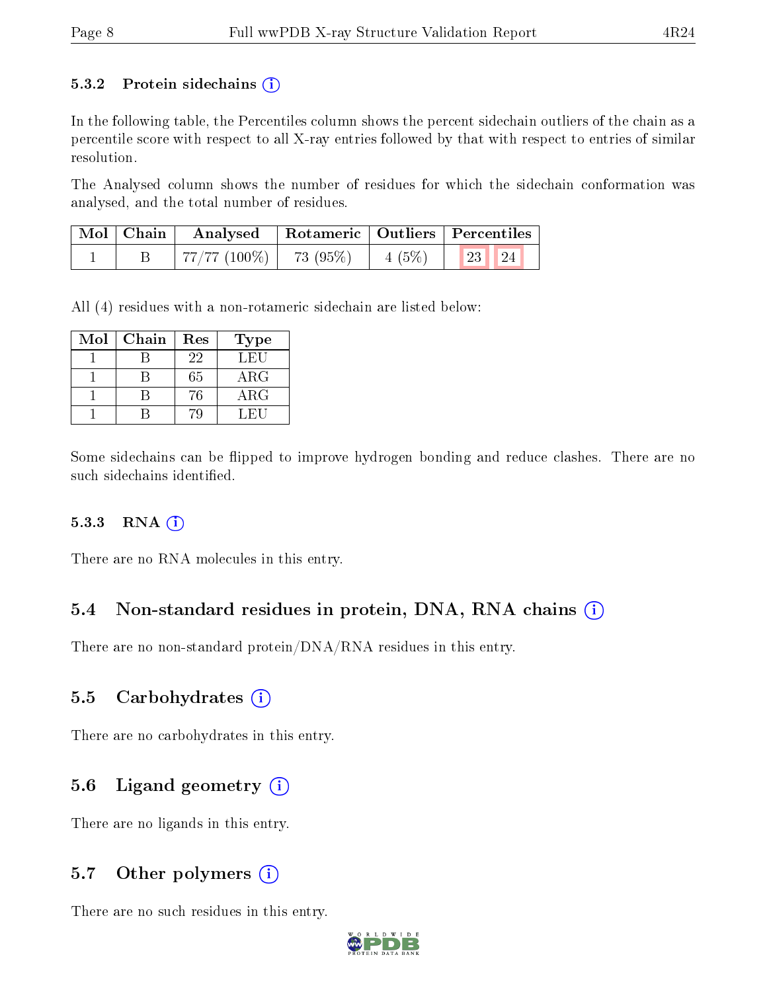#### 5.3.2 Protein sidechains  $(i)$

In the following table, the Percentiles column shows the percent sidechain outliers of the chain as a percentile score with respect to all X-ray entries followed by that with respect to entries of similar resolution.

The Analysed column shows the number of residues for which the sidechain conformation was analysed, and the total number of residues.

| $\mid$ Mol $\mid$ Chain $\mid$ | Analysed   Rotameric   Outliers   Percentiles     |  |                                                                                  |
|--------------------------------|---------------------------------------------------|--|----------------------------------------------------------------------------------|
|                                | $+77/77 \; (100\%) \;   \; -73 \; (95\%) \;   \;$ |  | $\begin{array}{ c c c c c c c c } \hline 4 & 5\% & 23 & 24 \ \hline \end{array}$ |

All (4) residues with a non-rotameric sidechain are listed below:

| Mol | Chain | Res | Type       |
|-----|-------|-----|------------|
|     |       | 22  | LEU        |
|     |       | 65  | $\rm{ARG}$ |
|     |       | 76  | $\rm{ARG}$ |
|     |       |     | L FII      |

Some sidechains can be flipped to improve hydrogen bonding and reduce clashes. There are no such sidechains identified.

#### $5.3.3$  RNA  $(i)$

There are no RNA molecules in this entry.

#### 5.4 Non-standard residues in protein, DNA, RNA chains (i)

There are no non-standard protein/DNA/RNA residues in this entry.

#### 5.5 Carbohydrates  $(i)$

There are no carbohydrates in this entry.

#### 5.6 Ligand geometry  $(i)$

There are no ligands in this entry.

#### 5.7 [O](https://www.wwpdb.org/validation/2017/XrayValidationReportHelp#nonstandard_residues_and_ligands)ther polymers  $(i)$

There are no such residues in this entry.

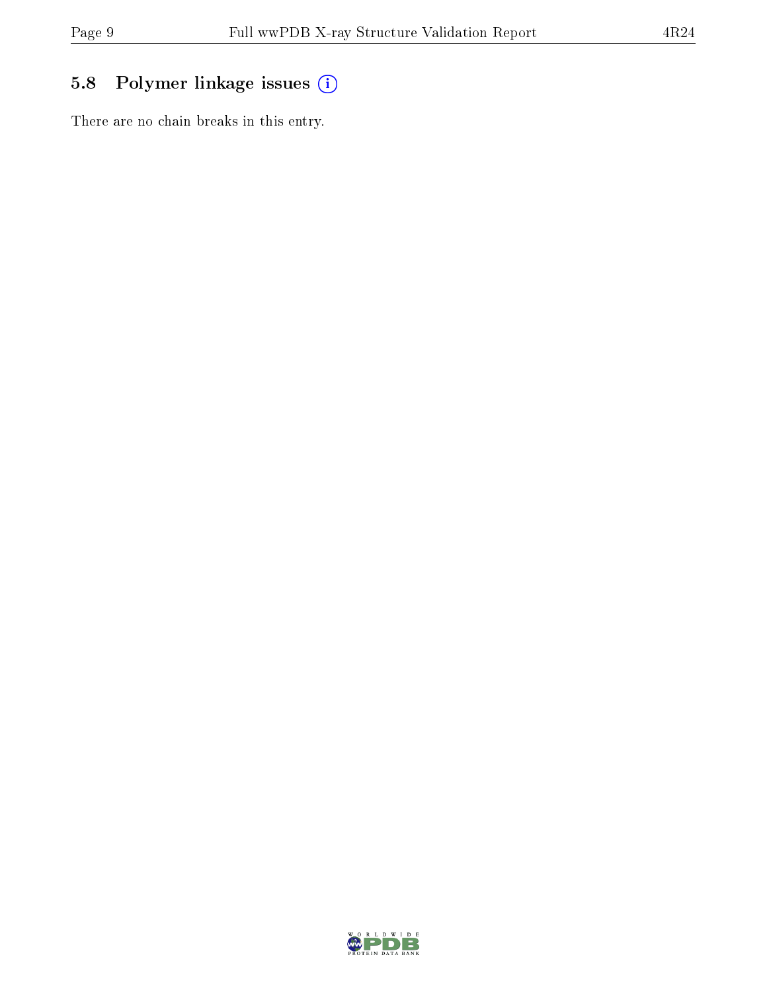## 5.8 Polymer linkage issues (i)

There are no chain breaks in this entry.